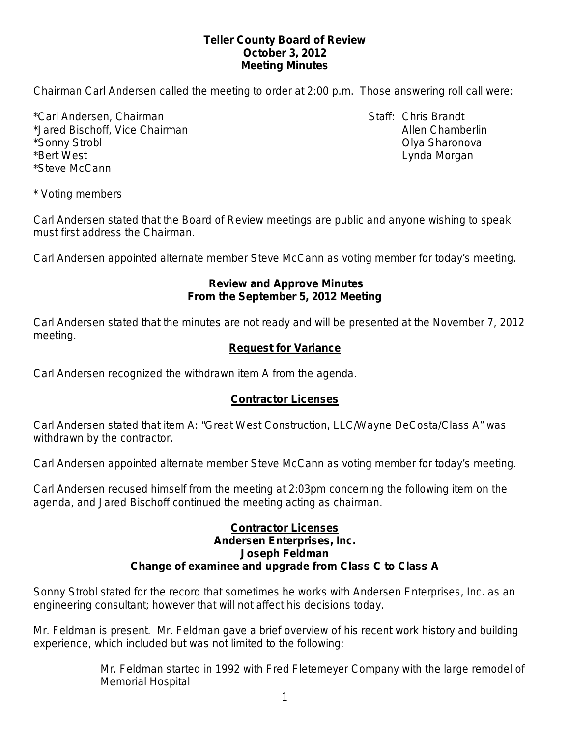#### **Teller County Board of Review October 3, 2012 Meeting Minutes**

Chairman Carl Andersen called the meeting to order at 2:00 p.m. Those answering roll call were:

\*Carl Andersen, Chairman Staff: Chris Brandt \*Jared Bischoff, Vice Chairman Allen Chamberlin Allen Chamberlin \*Sonny Strobl Olya Sharonova \*Bert West Lynda Morgan \*Steve McCann

\* Voting members

Carl Andersen stated that the Board of Review meetings are public and anyone wishing to speak must first address the Chairman.

Carl Andersen appointed alternate member Steve McCann as voting member for today's meeting.

#### **Review and Approve Minutes From the September 5, 2012 Meeting**

Carl Andersen stated that the minutes are not ready and will be presented at the November 7, 2012 meeting.

## **Request for Variance**

Carl Andersen recognized the withdrawn item A from the agenda.

#### **Contractor Licenses**

Carl Andersen stated that item A: "Great West Construction, LLC/Wayne DeCosta/Class A" was withdrawn by the contractor.

Carl Andersen appointed alternate member Steve McCann as voting member for today's meeting.

Carl Andersen recused himself from the meeting at 2:03pm concerning the following item on the agenda, and Jared Bischoff continued the meeting acting as chairman.

#### **Contractor Licenses Andersen Enterprises, Inc. Joseph Feldman Change of examinee and upgrade from Class C to Class A**

Sonny Strobl stated for the record that sometimes he works with Andersen Enterprises, Inc. as an engineering consultant; however that will not affect his decisions today.

Mr. Feldman is present. Mr. Feldman gave a brief overview of his recent work history and building experience, which included but was not limited to the following:

> Mr. Feldman started in 1992 with Fred Fletemeyer Company with the large remodel of Memorial Hospital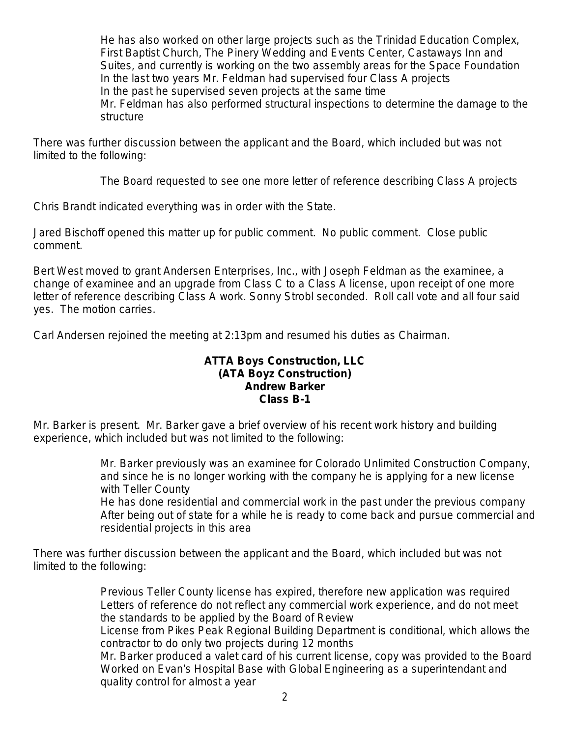He has also worked on other large projects such as the Trinidad Education Complex, First Baptist Church, The Pinery Wedding and Events Center, Castaways Inn and Suites, and currently is working on the two assembly areas for the Space Foundation In the last two years Mr. Feldman had supervised four Class A projects In the past he supervised seven projects at the same time Mr. Feldman has also performed structural inspections to determine the damage to the structure

There was further discussion between the applicant and the Board, which included but was not limited to the following:

The Board requested to see one more letter of reference describing Class A projects

Chris Brandt indicated everything was in order with the State.

Jared Bischoff opened this matter up for public comment. No public comment. Close public comment.

Bert West moved to grant Andersen Enterprises, Inc., with Joseph Feldman as the examinee, a change of examinee and an upgrade from Class C to a Class A license, upon receipt of one more letter of reference describing Class A work. Sonny Strobl seconded. Roll call vote and all four said yes. The motion carries.

Carl Andersen rejoined the meeting at 2:13pm and resumed his duties as Chairman.

#### **ATTA Boys Construction, LLC (ATA Boyz Construction) Andrew Barker Class B-1**

Mr. Barker is present. Mr. Barker gave a brief overview of his recent work history and building experience, which included but was not limited to the following:

> Mr. Barker previously was an examinee for Colorado Unlimited Construction Company, and since he is no longer working with the company he is applying for a new license with Teller County

He has done residential and commercial work in the past under the previous company After being out of state for a while he is ready to come back and pursue commercial and residential projects in this area

There was further discussion between the applicant and the Board, which included but was not limited to the following:

> Previous Teller County license has expired, therefore new application was required Letters of reference do not reflect any commercial work experience, and do not meet the standards to be applied by the Board of Review

License from Pikes Peak Regional Building Department is conditional, which allows the contractor to do only two projects during 12 months

Mr. Barker produced a valet card of his current license, copy was provided to the Board Worked on Evan's Hospital Base with Global Engineering as a superintendant and quality control for almost a year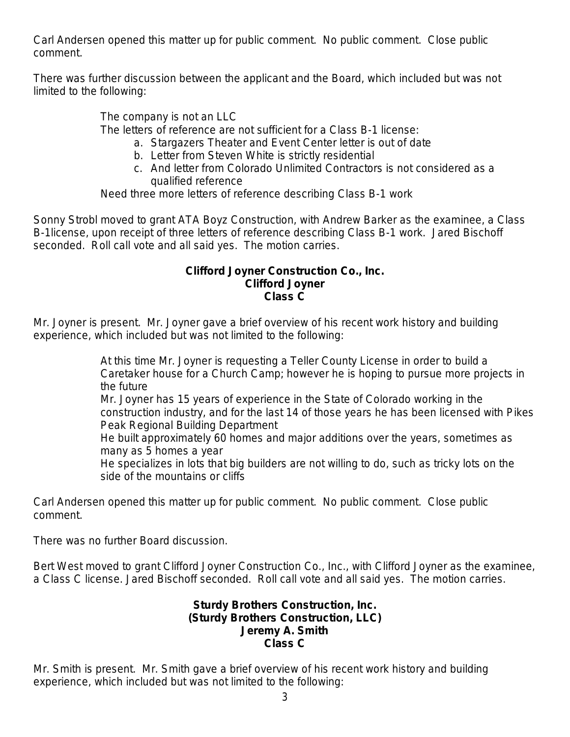Carl Andersen opened this matter up for public comment. No public comment. Close public comment.

There was further discussion between the applicant and the Board, which included but was not limited to the following:

The company is not an LLC

The letters of reference are not sufficient for a Class B-1 license:

- a. Stargazers Theater and Event Center letter is out of date
- b. Letter from Steven White is strictly residential
- c. And letter from Colorado Unlimited Contractors is not considered as a qualified reference

Need three more letters of reference describing Class B-1 work

Sonny Strobl moved to grant ATA Boyz Construction, with Andrew Barker as the examinee, a Class B-1license, upon receipt of three letters of reference describing Class B-1 work. Jared Bischoff seconded. Roll call vote and all said yes. The motion carries.

#### **Clifford Joyner Construction Co., Inc. Clifford Joyner Class C**

Mr. Joyner is present. Mr. Joyner gave a brief overview of his recent work history and building experience, which included but was not limited to the following:

> At this time Mr. Joyner is requesting a Teller County License in order to build a Caretaker house for a Church Camp; however he is hoping to pursue more projects in the future

Mr. Joyner has 15 years of experience in the State of Colorado working in the construction industry, and for the last 14 of those years he has been licensed with Pikes Peak Regional Building Department

He built approximately 60 homes and major additions over the years, sometimes as many as 5 homes a year

He specializes in lots that big builders are not willing to do, such as tricky lots on the side of the mountains or cliffs

Carl Andersen opened this matter up for public comment. No public comment. Close public comment.

There was no further Board discussion.

Bert West moved to grant Clifford Joyner Construction Co., Inc., with Clifford Joyner as the examinee, a Class C license. Jared Bischoff seconded. Roll call vote and all said yes. The motion carries.

#### **Sturdy Brothers Construction, Inc. (Sturdy Brothers Construction, LLC) Jeremy A. Smith Class C**

Mr. Smith is present. Mr. Smith gave a brief overview of his recent work history and building experience, which included but was not limited to the following: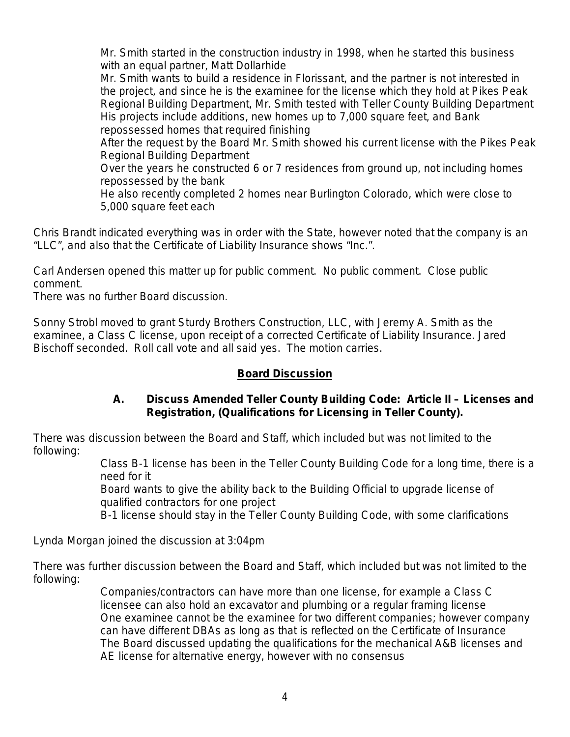Mr. Smith started in the construction industry in 1998, when he started this business with an equal partner, Matt Dollarhide

Mr. Smith wants to build a residence in Florissant, and the partner is not interested in the project, and since he is the examinee for the license which they hold at Pikes Peak Regional Building Department, Mr. Smith tested with Teller County Building Department His projects include additions, new homes up to 7,000 square feet, and Bank repossessed homes that required finishing

After the request by the Board Mr. Smith showed his current license with the Pikes Peak Regional Building Department

Over the years he constructed 6 or 7 residences from ground up, not including homes repossessed by the bank

He also recently completed 2 homes near Burlington Colorado, which were close to 5,000 square feet each

Chris Brandt indicated everything was in order with the State, however noted that the company is an "LLC", and also that the Certificate of Liability Insurance shows "Inc.".

Carl Andersen opened this matter up for public comment. No public comment. Close public comment.

There was no further Board discussion.

Sonny Strobl moved to grant Sturdy Brothers Construction, LLC, with Jeremy A. Smith as the examinee, a Class C license, upon receipt of a corrected Certificate of Liability Insurance. Jared Bischoff seconded. Roll call vote and all said yes. The motion carries.

# **Board Discussion**

## **A. Discuss Amended Teller County Building Code: Article II – Licenses and Registration, (Qualifications for Licensing in Teller County).**

There was discussion between the Board and Staff, which included but was not limited to the following:

Class B-1 license has been in the Teller County Building Code for a long time, there is a need for it

Board wants to give the ability back to the Building Official to upgrade license of qualified contractors for one project

B-1 license should stay in the Teller County Building Code, with some clarifications

Lynda Morgan joined the discussion at 3:04pm

There was further discussion between the Board and Staff, which included but was not limited to the following:

> Companies/contractors can have more than one license, for example a Class C licensee can also hold an excavator and plumbing or a regular framing license One examinee cannot be the examinee for two different companies; however company can have different DBAs as long as that is reflected on the Certificate of Insurance The Board discussed updating the qualifications for the mechanical A&B licenses and AE license for alternative energy, however with no consensus